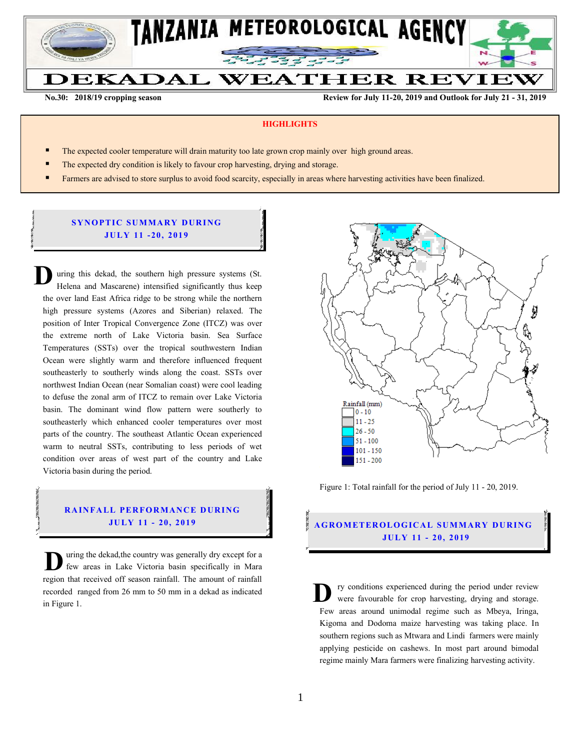

**No.30: 2018/19 cropping season Review for July 11-20, 2019 and Outlook for July 21 - 31, 2019** 

#### **HIGHLIGHTS**

- The expected cooler temperature will drain maturity too late grown crop mainly over high ground areas.
- The expected dry condition is likely to favour crop harvesting, drying and storage.
- Farmers are advised to store surplus to avoid food scarcity, especially in areas where harvesting activities have been finalized.

## **SYNOPTIC SUMMARY DURING JU LY 11 - 20, 201 9**

uring this dekad, the southern high pressure systems (St. Helena and Mascarene) intensified significantly thus keep the over land East Africa ridge to be strong while the northern high pressure systems (Azores and Siberian) relaxed. The position of Inter Tropical Convergence Zone (ITCZ) was over the extreme north of Lake Victoria basin. Sea Surface Temperatures (SSTs) over the tropical southwestern Indian Ocean were slightly warm and therefore influenced frequent southeasterly to southerly winds along the coast. SSTs over northwest Indian Ocean (near Somalian coast) were cool leading to defuse the zonal arm of ITCZ to remain over Lake Victoria basin. The dominant wind flow pattern were southerly to southeasterly which enhanced cooler temperatures over most parts of the country. The southeast Atlantic Ocean experienced warm to neutral SSTs, contributing to less periods of wet condition over areas of west part of the country and Lake Victoria basin during the period. **D**

# **RAINFALL PERFORMANCE DURING**

uring the dekad,the country was generally dry except for a few areas in Lake Victoria basin specifically in Mara U uring the dekad, the country was generally dry except for a few areas in Lake Victoria basin specifically in Mara region that received off season rainfall. The amount of rainfall recorded ranged from 26 mm to 50 mm in a dekad as indicated in Figure 1.



Figure 1: Total rainfall for the period of July 11 - 20, 2019.

## **JU LY 11 - 20, 201 9 A G RO METER O LO G IC AL SU MMAR Y DU R IN G JU LY 11 - 20, 2019**

ry conditions experienced during the period under review were favourable for crop harvesting, drying and storage. Few areas around unimodal regime such as Mbeya, Iringa, Kigoma and Dodoma maize harvesting was taking place. In southern regions such as Mtwara and Lindi farmers were mainly applying pesticide on cashews. In most part around bimodal regime mainly Mara farmers were finalizing harvesting activity. **D**